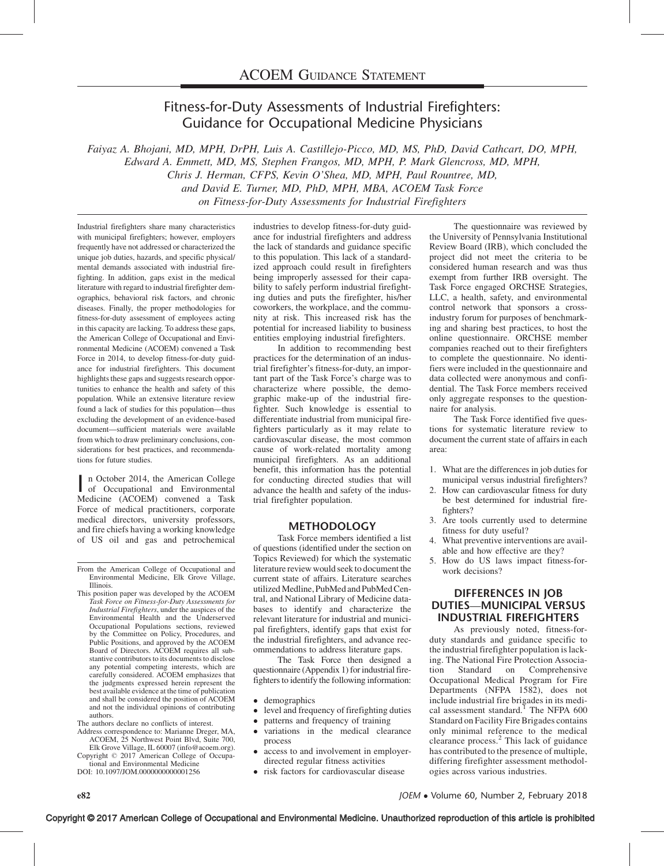# Fitness-for-Duty Assessments of Industrial Firefighters: Guidance for Occupational Medicine Physicians

Faiyaz A. Bhojani, MD, MPH, DrPH, Luis A. Castillejo-Picco, MD, MS, PhD, David Cathcart, DO, MPH, Edward A. Emmett, MD, MS, Stephen Frangos, MD, MPH, P. Mark Glencross, MD, MPH, Chris J. Herman, CFPS, Kevin O'Shea, MD, MPH, Paul Rountree, MD, and David E. Turner, MD, PhD, MPH, MBA, ACOEM Task Force on Fitness-for-Duty Assessments for Industrial Firefighters

Industrial firefighters share many characteristics with municipal firefighters; however, employers frequently have not addressed or characterized the unique job duties, hazards, and specific physical/ mental demands associated with industrial firefighting. In addition, gaps exist in the medical literature with regard to industrial firefighter demographics, behavioral risk factors, and chronic diseases. Finally, the proper methodologies for fitness-for-duty assessment of employees acting in this capacity are lacking. To address these gaps, the American College of Occupational and Environmental Medicine (ACOEM) convened a Task Force in 2014, to develop fitness-for-duty guidance for industrial firefighters. This document highlights these gaps and suggests research opportunities to enhance the health and safety of this population. While an extensive literature review found a lack of studies for this population—thus excluding the development of an evidence-based document—sufficient materials were available from which to draw preliminary conclusions, considerations for best practices, and recommendations for future studies.

n October 2014, the American College<br>of Occupational and Environmental Medicine (ACOEM) convened a Task Force of medical practitioners, corporate medical directors, university professors, and fire chiefs having a working knowledge of US oil and gas and petrochemical

From the American College of Occupational and Environmental Medicine, Elk Grove Village, Illinois.

This position paper was developed by the ACOEM Task Force on Fitness-for-Duty Assessments for Industrial Firefighters, under the auspices of the Environmental Health and the Underserved Occupational Populations sections, reviewed by the Committee on Policy, Procedures, and Public Positions, and approved by the ACOEM Board of Directors. ACOEM requires all substantive contributors to its documents to disclose any potential competing interests, which are carefully considered. ACOEM emphasizes that the judgments expressed herein represent the best available evidence at the time of publication and shall be considered the position of ACOEM and not the individual opinions of contributing authors.

The authors declare no conflicts of interest.

- Address correspondence to: Marianne Dreger, MA, ACOEM, 25 Northwest Point Blvd, Suite 700,
- Elk Grove Village, IL 60007 ([info@acoem.org](mailto:info@acoem.org)). Copyright © 2017 American College of Occupational and Environmental Medicine
- DOI: 10.1097/JOM.0000000000001256

industries to develop fitness-for-duty guidance for industrial firefighters and address the lack of standards and guidance specific to this population. This lack of a standardized approach could result in firefighters being improperly assessed for their capability to safely perform industrial firefighting duties and puts the firefighter, his/her coworkers, the workplace, and the community at risk. This increased risk has the potential for increased liability to business entities employing industrial firefighters.

In addition to recommending best practices for the determination of an industrial firefighter's fitness-for-duty, an important part of the Task Force's charge was to characterize where possible, the demographic make-up of the industrial firefighter. Such knowledge is essential to differentiate industrial from municipal firefighters particularly as it may relate to cardiovascular disease, the most common cause of work-related mortality among municipal firefighters. As an additional benefit, this information has the potential for conducting directed studies that will advance the health and safety of the industrial firefighter population.

### **METHODOLOGY**

Task Force members identified a list of questions (identified under the section on Topics Reviewed) for which the systematic literature review would seek to document the current state of affairs. Literature searches utilized Medline, PubMed and PubMed Central, and National Library of Medicine databases to identify and characterize the relevant literature for industrial and municipal firefighters, identify gaps that exist for the industrial firefighters, and advance recommendations to address literature gaps.

The Task Force then designed a questionnaire (Appendix 1) for industrial firefighters to identify the following information:

- demographics
- level and frequency of firefighting duties
- $\bullet$ patterns and frequency of training
- variations in the medical clearance process
- access to and involvement in employerdirected regular fitness activities
- risk factors for cardiovascular disease

The questionnaire was reviewed by the University of Pennsylvania Institutional Review Board (IRB), which concluded the project did not meet the criteria to be considered human research and was thus exempt from further IRB oversight. The Task Force engaged ORCHSE Strategies, LLC, a health, safety, and environmental control network that sponsors a crossindustry forum for purposes of benchmarking and sharing best practices, to host the online questionnaire. ORCHSE member companies reached out to their firefighters to complete the questionnaire. No identifiers were included in the questionnaire and data collected were anonymous and confidential. The Task Force members received only aggregate responses to the questionnaire for analysis.

The Task Force identified five questions for systematic literature review to document the current state of affairs in each area:

- 1. What are the differences in job duties for municipal versus industrial firefighters?
- 2. How can cardiovascular fitness for duty be best determined for industrial firefighters?
- 3. Are tools currently used to determine fitness for duty useful?
- 4. What preventive interventions are available and how effective are they?
- 5. How do US laws impact fitness-forwork decisions?

### DIFFERENCES IN JOB DUTIES—MUNICIPAL VERSUS INDUSTRIAL FIREFIGHTERS

As previously noted, fitness-forduty standards and guidance specific to the industrial firefighter population is lacking. The National Fire Protection Associa-<br>tion Standard on Comprehensive Standard on Comprehensive Occupational Medical Program for Fire Departments (NFPA 1582), does not include industrial fire brigades in its medi-cal assessment standard.<sup>[1](#page-5-0)</sup> The NFPA 600 Standard on Facility Fire Brigades contains only minimal reference to the medical clearance process.[2](#page-5-0) This lack of guidance has contributed to the presence of multiple, differing firefighter assessment methodologies across various industries.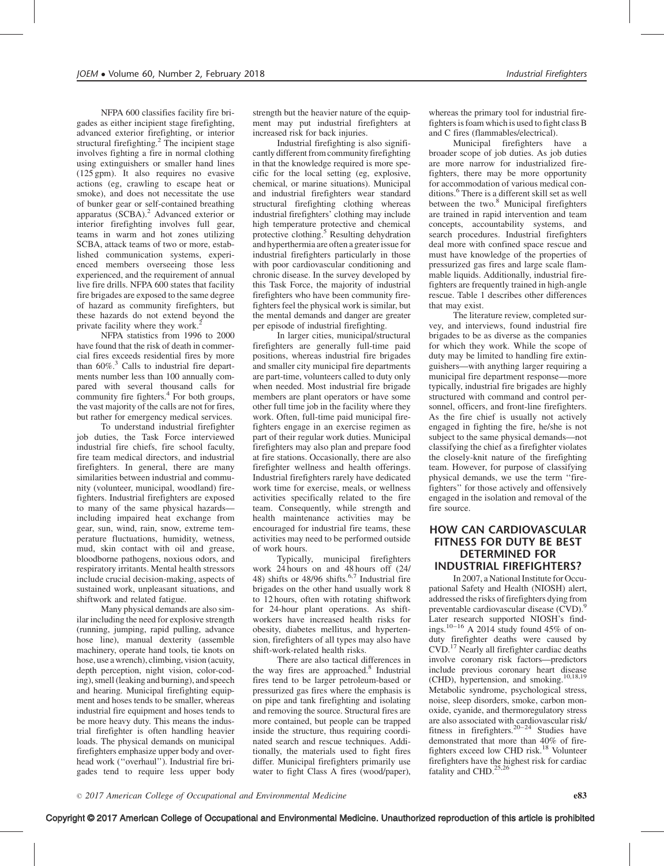NFPA 600 classifies facility fire brigades as either incipient stage firefighting, advanced exterior firefighting, or interior structural firefighting. $^{2}$  $^{2}$  $^{2}$  The incipient stage involves fighting a fire in normal clothing using extinguishers or smaller hand lines (125 gpm). It also requires no evasive actions (eg, crawling to escape heat or smoke), and does not necessitate the use of bunker gear or self-contained breathing apparatus (SCBA).[2](#page-5-0) Advanced exterior or interior firefighting involves full gear, teams in warm and hot zones utilizing SCBA, attack teams of two or more, established communication systems, experienced members overseeing those less experienced, and the requirement of annual live fire drills. NFPA 600 states that facility fire brigades are exposed to the same degree of hazard as community firefighters, but these hazards do not extend beyond the private facility where they work.<sup>[2](#page-5-0)</sup>

NFPA statistics from 1996 to 2000 have found that the risk of death in commercial fires exceeds residential fires by more than  $60\%$ <sup>[3](#page-5-0)</sup> Calls to industrial fire departments number less than 100 annually compared with several thousand calls for community fire fighters.<sup>[4](#page-5-0)</sup> For both groups, the vast majority of the calls are not for fires, but rather for emergency medical services.

To understand industrial firefighter job duties, the Task Force interviewed industrial fire chiefs, fire school faculty, fire team medical directors, and industrial firefighters. In general, there are many similarities between industrial and community (volunteer, municipal, woodland) firefighters. Industrial firefighters are exposed to many of the same physical hazards including impaired heat exchange from gear, sun, wind, rain, snow, extreme temperature fluctuations, humidity, wetness, mud, skin contact with oil and grease, bloodborne pathogens, noxious odors, and respiratory irritants. Mental health stressors include crucial decision-making, aspects of sustained work, unpleasant situations, and shiftwork and related fatigue.

Many physical demands are also similar including the need for explosive strength (running, jumping, rapid pulling, advance hose line), manual dexterity (assemble machinery, operate hand tools, tie knots on hose, use a wrench), climbing, vision (acuity, depth perception, night vision, color-coding), smell (leaking and burning), and speech and hearing. Municipal firefighting equipment and hoses tends to be smaller, whereas industrial fire equipment and hoses tends to be more heavy duty. This means the industrial firefighter is often handling heavier loads. The physical demands on municipal firefighters emphasize upper body and overhead work (''overhaul''). Industrial fire brigades tend to require less upper body

strength but the heavier nature of the equipment may put industrial firefighters at increased risk for back injuries.

Industrial firefighting is also significantly different from community firefighting in that the knowledge required is more specific for the local setting (eg, explosive, chemical, or marine situations). Municipal and industrial firefighters wear standard structural firefighting clothing whereas industrial firefighters' clothing may include high temperature protective and chemical protective clothing.<sup>5</sup> Resulting dehydration and hyperthermia are often a greater issue for industrial firefighters particularly in those with poor cardiovascular conditioning and chronic disease. In the survey developed by this Task Force, the majority of industrial firefighters who have been community firefighters feel the physical work is similar, but the mental demands and danger are greater per episode of industrial firefighting.

In larger cities, municipal/structural firefighters are generally full-time paid positions, whereas industrial fire brigades and smaller city municipal fire departments are part-time, volunteers called to duty only when needed. Most industrial fire brigade members are plant operators or have some other full time job in the facility where they work. Often, full-time paid municipal firefighters engage in an exercise regimen as part of their regular work duties. Municipal firefighters may also plan and prepare food at fire stations. Occasionally, there are also firefighter wellness and health offerings. Industrial firefighters rarely have dedicated work time for exercise, meals, or wellness activities specifically related to the fire team. Consequently, while strength and health maintenance activities may be encouraged for industrial fire teams, these activities may need to be performed outside of work hours.

Typically, municipal firefighters work 24 hours on and 48 hours off (24/ 48) shifts or  $48/96$  shifts.<sup>[6,7](#page-5-0)</sup> Industrial fire brigades on the other hand usually work 8 to 12 hours, often with rotating shiftwork for 24-hour plant operations. As shiftworkers have increased health risks for obesity, diabetes mellitus, and hypertension, firefighters of all types may also have shift-work-related health risks.

There are also tactical differences in the way fires are approached.<sup>8</sup> Industrial fires tend to be larger petroleum-based or pressurized gas fires where the emphasis is on pipe and tank firefighting and isolating and removing the source. Structural fires are more contained, but people can be trapped inside the structure, thus requiring coordinated search and rescue techniques. Additionally, the materials used to fight fires differ. Municipal firefighters primarily use water to fight Class A fires (wood/paper),

whereas the primary tool for industrial firefighters is foam which is used to fight class B and C fires (flammables/electrical).

Municipal firefighters have a broader scope of job duties. As job duties are more narrow for industrialized firefighters, there may be more opportunity for accommodation of various medical con-ditions.<sup>[6](#page-5-0)</sup> There is a different skill set as well between the two.<sup>[8](#page-5-0)</sup> Municipal firefighters are trained in rapid intervention and team concepts, accountability systems, and search procedures. Industrial firefighters deal more with confined space rescue and must have knowledge of the properties of pressurized gas fires and large scale flammable liquids. Additionally, industrial firefighters are frequently trained in high-angle rescue. Table 1 describes other differences that may exist.

The literature review, completed survey, and interviews, found industrial fire brigades to be as diverse as the companies for which they work. While the scope of duty may be limited to handling fire extinguishers—with anything larger requiring a municipal fire department response—more typically, industrial fire brigades are highly structured with command and control personnel, officers, and front-line firefighters. As the fire chief is usually not actively engaged in fighting the fire, he/she is not subject to the same physical demands—not classifying the chief as a firefighter violates the closely-knit nature of the firefighting team. However, for purpose of classifying physical demands, we use the term ''firefighters'' for those actively and offensively engaged in the isolation and removal of the fire source.

# HOW CAN CARDIOVASCULAR FITNESS FOR DUTY BE BEST DETERMINED FOR INDUSTRIAL FIREFIGHTERS?

In 2007, a National Institute for Occupational Safety and Health (NIOSH) alert, addressed the risks of firefighters dying from preventable cardiovascular disease (CVD).<sup>[9](#page-5-0)</sup> Later research supported NIOSH's find-ings.<sup>[10–16](#page-5-0)</sup> A 2014 study found 45% of onduty firefighter deaths were caused by CVD.[17](#page-5-0) Nearly all firefighter cardiac deaths involve coronary risk factors—predictors include previous coronary heart disease (CHD), hypertension, and smoking[.10,18,19](#page-5-0) Metabolic syndrome, psychological stress, noise, sleep disorders, smoke, carbon monoxide, cyanide, and thermoregulatory stress are also associated with cardiovascular risk/<br>fitness in firefighters.<sup>[20–24](#page-6-0)</sup> Studies have demonstrated that more than 40% of firefighters exceed low CHD risk.<sup>18</sup> Volunteer firefighters have the highest risk for cardiac fatality and CHD.<sup>25,26</sup>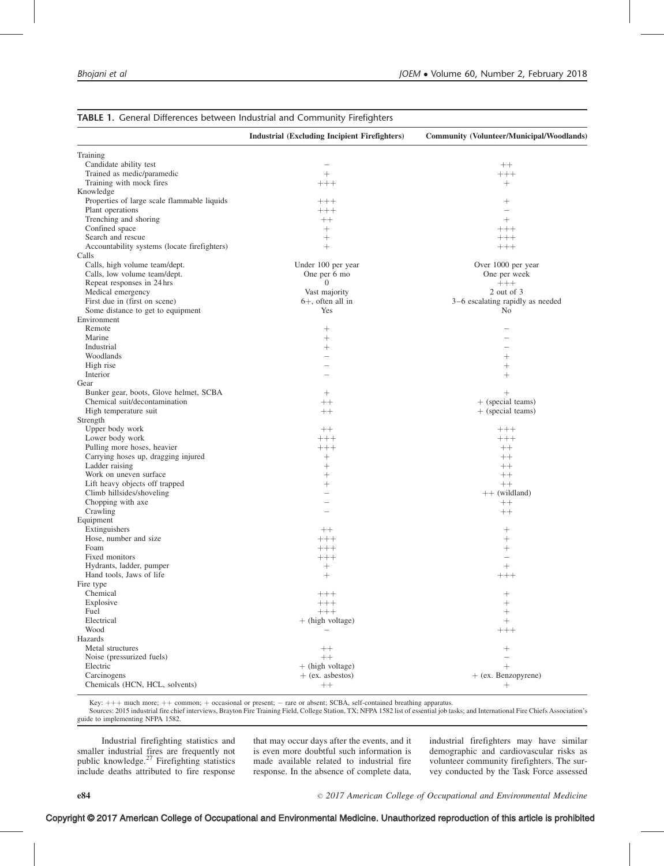|                                              | <b>Industrial (Excluding Incipient Firefighters)</b> | <b>Community (Volunteer/Municipal/Woodlands)</b> |
|----------------------------------------------|------------------------------------------------------|--------------------------------------------------|
| Training                                     |                                                      |                                                  |
| Candidate ability test                       |                                                      | $++$                                             |
| Trained as medic/paramedic                   | $+$                                                  | $+++$                                            |
| Training with mock fires                     | $+++$                                                | $^{+}$                                           |
| Knowledge                                    |                                                      |                                                  |
| Properties of large scale flammable liquids  | $+++$                                                | $^{+}$                                           |
| Plant operations                             | $+++$                                                | $\qquad \qquad -$                                |
| Trenching and shoring                        | $++$                                                 | $^{+}$                                           |
| Confined space                               | $^{+}$                                               | $+++$                                            |
| Search and rescue                            | $^{+}$                                               | $+++$                                            |
| Accountability systems (locate firefighters) | $^{+}$                                               | $+++$                                            |
| Calls                                        |                                                      |                                                  |
| Calls, high volume team/dept.                | Under 100 per year                                   | Over 1000 per year                               |
|                                              |                                                      |                                                  |
| Calls, low volume team/dept.                 | One per 6 mo                                         | One per week                                     |
| Repeat responses in 24 hrs                   | $\Omega$                                             | $++++ \label{eq:1}$                              |
| Medical emergency                            | Vast majority                                        | 2 out of 3                                       |
| First due in (first on scene)                | $6+$ , often all in                                  | 3-6 escalating rapidly as needed                 |
| Some distance to get to equipment            | Yes                                                  | No                                               |
| Environment                                  |                                                      |                                                  |
| Remote                                       | $\hspace{0.1mm} +$                                   |                                                  |
| Marine                                       | $^{+}$                                               |                                                  |
| Industrial                                   | $^{+}$                                               |                                                  |
| Woodlands                                    |                                                      | $^{+}$                                           |
| High rise                                    |                                                      | $^{+}$                                           |
| Interior                                     |                                                      | $+$                                              |
| Gear                                         |                                                      |                                                  |
| Bunker gear, boots, Glove helmet, SCBA       | $^{+}$                                               | $+$                                              |
| Chemical suit/decontamination                | $^{++}$                                              | + (special teams)                                |
| High temperature suit                        | $++$                                                 | $+$ (special teams)                              |
| Strength                                     |                                                      |                                                  |
| Upper body work                              | $++$                                                 | $+++$                                            |
| Lower body work                              | $+++$                                                | $+++$                                            |
| Pulling more hoses, heavier                  | $+++$                                                | $++$                                             |
| Carrying hoses up, dragging injured          | $^{+}$                                               | $++$                                             |
| Ladder raising                               | $^{+}$                                               | $++$                                             |
| Work on uneven surface                       | $^{+}$                                               | $++$                                             |
| Lift heavy objects off trapped               | $^{+}$                                               | $++$                                             |
| Climb hillsides/shoveling                    |                                                      | $++$ (wildland)                                  |
| Chopping with axe                            |                                                      | $++$                                             |
| Crawling                                     |                                                      | $++$                                             |
| Equipment                                    |                                                      |                                                  |
| Extinguishers                                | $^{++}$                                              | $^+$                                             |
| Hose, number and size                        | $+++$                                                | $^{+}$                                           |
| Foam                                         | $+++$                                                | $+$                                              |
| Fixed monitors                               | $++++$                                               | $\overline{\phantom{0}}$                         |
| Hydrants, ladder, pumper                     | $\boldsymbol{+}$                                     | $+$                                              |
| Hand tools, Jaws of life                     | $^{+}$                                               | $^{+++}$                                         |
| Fire type                                    |                                                      |                                                  |
| Chemical                                     | $+++$                                                | $\overline{+}$                                   |
|                                              |                                                      |                                                  |
| Explosive                                    | $+++$                                                | $\overline{+}$                                   |
| Fuel                                         | $+++$                                                | $^{+}$                                           |
| Electrical                                   | $+$ (high voltage)                                   | $^{+}$                                           |
| Wood                                         |                                                      | $++++$                                           |
| Hazards                                      |                                                      |                                                  |
| Metal structures                             | $^{++}$                                              | $^{+}$                                           |
| Noise (pressurized fuels)                    | $^{++}$                                              | $\overline{\phantom{0}}$                         |
| Electric                                     | $+$ (high voltage)                                   | $^{+}$                                           |
| Carcinogens                                  | $+$ (ex. asbestos)                                   | $+$ (ex. Benzopyrene)                            |
| Chemicals (HCN, HCL, solvents)               | $++$                                                 | $^{+}$                                           |

### TABLE 1. General Differences between Industrial and Community Firefighters

Key: +++ much more; ++ common; + occasional or present; - rare or absent; SCBA, self-contained breathing apparatus.

Sources: 2015 industrial fire chief interviews, Brayton Fire Training Field, College Station, TX; NFPA 1582 list of essential job tasks; and International Fire Chiefs Association's guide to implementing NFPA 1582.

Industrial firefighting statistics and smaller industrial fires are frequently not<br>public knowledge.<sup>[27](#page-6-0)</sup> Firefighting statistics include deaths attributed to fire response that may occur days after the events, and it is even more doubtful such information is made available related to industrial fire response. In the absence of complete data,

industrial firefighters may have similar demographic and cardiovascular risks as volunteer community firefighters. The survey conducted by the Task Force assessed

2017 American College of Occupational and Environmental Medicine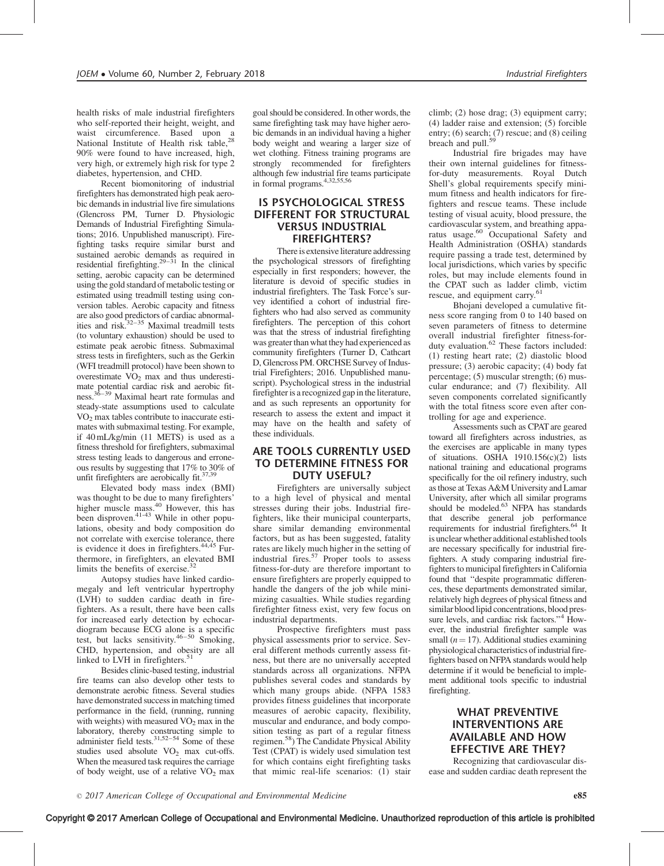health risks of male industrial firefighters who self-reported their height, weight, and waist circumference. Based upon a National Institute of Health risk table,<sup>[28](#page-6-0)</sup> 90% were found to have increased, high, very high, or extremely high risk for type 2 diabetes, hypertension, and CHD.

Recent biomonitoring of industrial firefighters has demonstrated high peak aerobic demands in industrial live fire simulations (Glencross PM, Turner D. Physiologic Demands of Industrial Firefighting Simulations; 2016. Unpublished manuscript). Firefighting tasks require similar burst and sustained aerobic demands as required in residential firefighting.<sup>[29–31](#page-6-0)</sup> In the clinical setting, aerobic capacity can be determined using the gold standard of metabolic testing or estimated using treadmill testing using conversion tables. Aerobic capacity and fitness are also good predictors of cardiac abnormalities and risk[.32–35](#page-6-0) Maximal treadmill tests (to voluntary exhaustion) should be used to estimate peak aerobic fitness. Submaximal stress tests in firefighters, such as the Gerkin (WFI treadmill protocol) have been shown to overestimate  $VO<sub>2</sub>$  max and thus underestimate potential cardiac risk and aerobic fitness[.36–39](#page-6-0) Maximal heart rate formulas and steady-state assumptions used to calculate VO2 max tables contribute to inaccurate estimates with submaximal testing. For example, if 40 mL/kg/min (11 METS) is used as a fitness threshold for firefighters, submaximal stress testing leads to dangerous and erroneous results by suggesting that 17% to 30% of unfit firefighters are aerobically fit.<sup>[37,39](#page-6-0)</sup>

Elevated body mass index (BMI) was thought to be due to many firefighters'<br>higher muscle mass.<sup>40</sup> However, this has been disproven.<sup>41-43</sup> While in other populations, obesity and body composition do not correlate with exercise tolerance, there is evidence it does in firefighters. $44,45$  Furthermore, in firefighters, an elevated BMI limits the benefits of exercise.  $32$ 

Autopsy studies have linked cardiomegaly and left ventricular hypertrophy (LVH) to sudden cardiac death in firefighters. As a result, there have been calls for increased early detection by echocardiogram because ECG alone is a specific test, but lacks sensitivity. $46-50$  Smoking, CHD, hypertension, and obesity are all linked to LVH in firefighters. $51$ 

Besides clinic-based testing, industrial fire teams can also develop other tests to demonstrate aerobic fitness. Several studies have demonstrated success in matching timed performance in the field, (running, running with weights) with measured  $VO<sub>2</sub>$  max in the laboratory, thereby constructing simple to administer field tests.<sup>31,52–54</sup> Some of these studies used absolute  $VO<sub>2</sub>$  max cut-offs. When the measured task requires the carriage of body weight, use of a relative  $VO<sub>2</sub>$  max

goal should be considered. In other words, the same firefighting task may have higher aerobic demands in an individual having a higher body weight and wearing a larger size of wet clothing. Fitness training programs are strongly recommended for firefighters although few industrial fire teams participate<br>in formal programs.<sup>4,32,55,56</sup>

# IS PSYCHOLOGICAL STRESS DIFFERENT FOR STRUCTURAL VERSUS INDUSTRIAL FIREFIGHTERS?

There is extensive literature addressing the psychological stressors of firefighting especially in first responders; however, the literature is devoid of specific studies in industrial firefighters. The Task Force's survey identified a cohort of industrial firefighters who had also served as community firefighters. The perception of this cohort was that the stress of industrial firefighting was greater than what they had experienced as community firefighters (Turner D, Cathcart D, Glencross PM. ORCHSE Survey of Industrial Firefighters; 2016. Unpublished manuscript). Psychological stress in the industrial firefighter is a recognized gap in the literature, and as such represents an opportunity for research to assess the extent and impact it may have on the health and safety of these individuals.

# ARE TOOLS CURRENTLY USED TO DETERMINE FITNESS FOR DUTY USEFUL?

Firefighters are universally subject to a high level of physical and mental stresses during their jobs. Industrial firefighters, like their municipal counterparts, share similar demanding environmental factors, but as has been suggested, fatality rates are likely much higher in the setting of industrial fires.<sup>57</sup> Proper tools to assess fitness-for-duty are therefore important to ensure firefighters are properly equipped to handle the dangers of the job while minimizing casualties. While studies regarding firefighter fitness exist, very few focus on industrial departments.

Prospective firefighters must pass physical assessments prior to service. Several different methods currently assess fitness, but there are no universally accepted standards across all organizations. NFPA publishes several codes and standards by which many groups abide. (NFPA 1583 provides fitness guidelines that incorporate measures of aerobic capacity, flexibility, muscular and endurance, and body composition testing as part of a regular fitness regimen.<sup>58</sup>) The Candidate Physical Ability Test (CPAT) is widely used simulation test for which contains eight firefighting tasks that mimic real-life scenarios: (1) stair climb; (2) hose drag; (3) equipment carry; (4) ladder raise and extension; (5) forcible entry; (6) search; (7) rescue; and (8) ceiling breach and pull.<sup>[59](#page-6-0)</sup>

Industrial fire brigades may have their own internal guidelines for fitnessfor-duty measurements. Royal Dutch Shell's global requirements specify minimum fitness and health indicators for firefighters and rescue teams. These include testing of visual acuity, blood pressure, the cardiovascular system, and breathing appa-ratus usage.<sup>[60](#page-6-0)</sup> Occupational Safety and Health Administration (OSHA) standards require passing a trade test, determined by local jurisdictions, which varies by specific roles, but may include elements found in the CPAT such as ladder climb, victim rescue, and equipment carry.<sup>[61](#page-6-0)</sup>

Bhojani developed a cumulative fitness score ranging from 0 to 140 based on seven parameters of fitness to determine overall industrial firefighter fitness-for-duty evaluation.<sup>[62](#page-6-0)</sup> These factors included: (1) resting heart rate; (2) diastolic blood pressure; (3) aerobic capacity; (4) body fat percentage; (5) muscular strength; (6) muscular endurance; and (7) flexibility. All seven components correlated significantly with the total fitness score even after controlling for age and experience.

Assessments such as CPAT are geared toward all firefighters across industries, as the exercises are applicable in many types of situations. OSHA  $1910.156(c)(2)$  lists national training and educational programs specifically for the oil refinery industry, such as those at Texas A&M University and Lamar University, after which all similar programs should be modeled.<sup>63</sup> NFPA has standards that describe general job performance requirements for industrial firefighters.<sup>64</sup> It is unclear whether additional established tools are necessary specifically for industrial firefighters. A study comparing industrial firefighters to municipal firefighters in California found that ''despite programmatic differences, these departments demonstrated similar, relatively high degrees of physical fitness and similar blood lipid concentrations, blood pres-sure levels, and cardiac risk factors."<sup>[4](#page-5-0)</sup> However, the industrial firefighter sample was small ( $n = 17$ ). Additional studies examining physiological characteristics ofindustrial firefighters based on NFPA standards would help determine if it would be beneficial to implement additional tools specific to industrial firefighting.

# WHAT PREVENTIVE INTERVENTIONS ARE AVAILABLE AND HOW EFFECTIVE ARE THEY?

Recognizing that cardiovascular disease and sudden cardiac death represent the

Copyright © 2017 American College of Occupational and Environmental Medicine. Unauthorized reproduction of this article is prohibited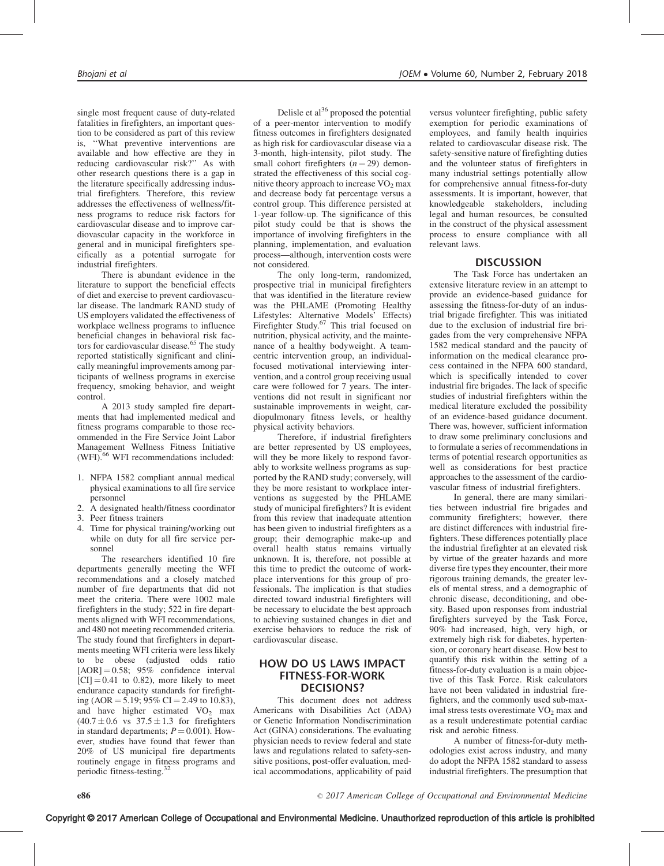JOEM . Volume 60, Number 2, February 2018

single most frequent cause of duty-related fatalities in firefighters, an important question to be considered as part of this review is, ''What preventive interventions are available and how effective are they in reducing cardiovascular risk?'' As with other research questions there is a gap in the literature specifically addressing industrial firefighters. Therefore, this review addresses the effectiveness of wellness/fitness programs to reduce risk factors for cardiovascular disease and to improve cardiovascular capacity in the workforce in general and in municipal firefighters specifically as a potential surrogate for industrial firefighters.

There is abundant evidence in the literature to support the beneficial effects of diet and exercise to prevent cardiovascular disease. The landmark RAND study of US employers validated the effectiveness of workplace wellness programs to influence beneficial changes in behavioral risk fac-tors for cardiovascular disease.<sup>[65](#page-6-0)</sup> The study reported statistically significant and clinically meaningful improvements among participants of wellness programs in exercise frequency, smoking behavior, and weight control.

A 2013 study sampled fire departments that had implemented medical and fitness programs comparable to those recommended in the Fire Service Joint Labor Management Wellness Fitness Initiative (WFI).[66](#page-6-0) WFI recommendations included:

- 1. NFPA 1582 compliant annual medical physical examinations to all fire service personnel
- 2. A designated health/fitness coordinator
- 3. Peer fitness trainers
- 4. Time for physical training/working out while on duty for all fire service personnel

The researchers identified 10 fire departments generally meeting the WFI recommendations and a closely matched number of fire departments that did not meet the criteria. There were 1002 male firefighters in the study; 522 in fire departments aligned with WFI recommendations, and 480 not meeting recommended criteria. The study found that firefighters in departments meeting WFI criteria were less likely to be obese (adjusted odds ratio  $[AOR] = 0.58$ ; 95% confidence interval  $|CI| = 0.41$  to 0.82), more likely to meet endurance capacity standards for firefighting (AOR = 5.19; 95% CI = 2.49 to 10.83), and have higher estimated  $VO<sub>2</sub>$  max  $(40.7 \pm 0.6 \text{ vs } 37.5 \pm 1.3 \text{ for firefightsers})$ in standard departments;  $P = 0.001$ ). However, studies have found that fewer than 20% of US municipal fire departments routinely engage in fitness programs and periodic fitness-testing[.32](#page-6-0)

Delisle et al $36$  proposed the potential of a peer-mentor intervention to modify fitness outcomes in firefighters designated as high risk for cardiovascular disease via a 3-month, high-intensity, pilot study. The small cohort firefighters  $(n = 29)$  demonstrated the effectiveness of this social cognitive theory approach to increase  $VO<sub>2</sub>$  max and decrease body fat percentage versus a control group. This difference persisted at 1-year follow-up. The significance of this pilot study could be that is shows the importance of involving firefighters in the planning, implementation, and evaluation process—although, intervention costs were not considered.

The only long-term, randomized, prospective trial in municipal firefighters that was identified in the literature review was the PHLAME (Promoting Healthy Lifestyles: Alternative Models' Effects) Firefighter Study.<sup>[67](#page-6-0)</sup> This trial focused on nutrition, physical activity, and the maintenance of a healthy bodyweight. A teamcentric intervention group, an individualfocused motivational interviewing intervention, and a control group receiving usual care were followed for 7 years. The interventions did not result in significant nor sustainable improvements in weight, cardiopulmonary fitness levels, or healthy physical activity behaviors.

Therefore, if industrial firefighters are better represented by US employees, will they be more likely to respond favorably to worksite wellness programs as supported by the RAND study; conversely, will they be more resistant to workplace interventions as suggested by the PHLAME study of municipal firefighters? It is evident from this review that inadequate attention has been given to industrial firefighters as a group; their demographic make-up and overall health status remains virtually unknown. It is, therefore, not possible at this time to predict the outcome of workplace interventions for this group of professionals. The implication is that studies directed toward industrial firefighters will be necessary to elucidate the best approach to achieving sustained changes in diet and exercise behaviors to reduce the risk of cardiovascular disease.

### HOW DO US LAWS IMPACT FITNESS-FOR-WORK DECISIONS?

This document does not address Americans with Disabilities Act (ADA) or Genetic Information Nondiscrimination Act (GINA) considerations. The evaluating physician needs to review federal and state laws and regulations related to safety-sensitive positions, post-offer evaluation, medical accommodations, applicability of paid

versus volunteer firefighting, public safety exemption for periodic examinations of employees, and family health inquiries related to cardiovascular disease risk. The safety-sensitive nature of firefighting duties and the volunteer status of firefighters in many industrial settings potentially allow for comprehensive annual fitness-for-duty assessments. It is important, however, that knowledgeable stakeholders, including legal and human resources, be consulted in the construct of the physical assessment process to ensure compliance with all relevant laws.

### **DISCUSSION**

The Task Force has undertaken an extensive literature review in an attempt to provide an evidence-based guidance for assessing the fitness-for-duty of an industrial brigade firefighter. This was initiated due to the exclusion of industrial fire brigades from the very comprehensive NFPA 1582 medical standard and the paucity of information on the medical clearance process contained in the NFPA 600 standard, which is specifically intended to cover industrial fire brigades. The lack of specific studies of industrial firefighters within the medical literature excluded the possibility of an evidence-based guidance document. There was, however, sufficient information to draw some preliminary conclusions and to formulate a series of recommendations in terms of potential research opportunities as well as considerations for best practice approaches to the assessment of the cardiovascular fitness of industrial firefighters.

In general, there are many similarities between industrial fire brigades and community firefighters; however, there are distinct differences with industrial firefighters. These differences potentially place the industrial firefighter at an elevated risk by virtue of the greater hazards and more diverse fire types they encounter, their more rigorous training demands, the greater levels of mental stress, and a demographic of chronic disease, deconditioning, and obesity. Based upon responses from industrial firefighters surveyed by the Task Force, 90% had increased, high, very high, or extremely high risk for diabetes, hypertension, or coronary heart disease. How best to quantify this risk within the setting of a fitness-for-duty evaluation is a main objective of this Task Force. Risk calculators have not been validated in industrial firefighters, and the commonly used sub-maximal stress tests overestimate  $VO<sub>2</sub>$  max and as a result underestimate potential cardiac risk and aerobic fitness.

A number of fitness-for-duty methodologies exist across industry, and many do adopt the NFPA 1582 standard to assess industrial firefighters. The presumption that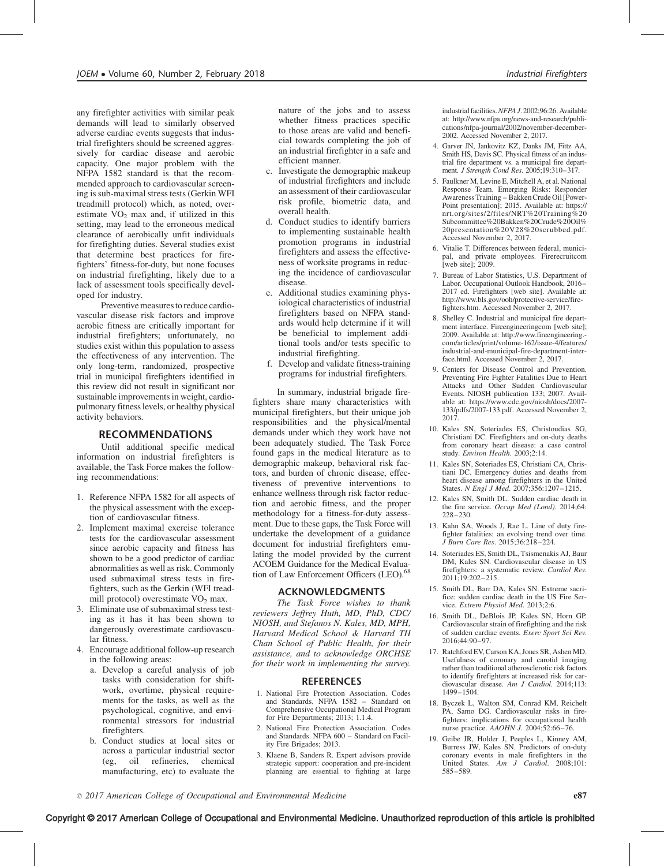<span id="page-5-0"></span>any firefighter activities with similar peak demands will lead to similarly observed adverse cardiac events suggests that industrial firefighters should be screened aggressively for cardiac disease and aerobic capacity. One major problem with the NFPA 1582 standard is that the recommended approach to cardiovascular screening is sub-maximal stress tests (Gerkin WFI treadmill protocol) which, as noted, overestimate  $VO<sub>2</sub>$  max and, if utilized in this setting, may lead to the erroneous medical clearance of aerobically unfit individuals for firefighting duties. Several studies exist that determine best practices for firefighters' fitness-for-duty, but none focuses on industrial firefighting, likely due to a lack of assessment tools specifically developed for industry.

Preventive measures to reduce cardiovascular disease risk factors and improve aerobic fitness are critically important for industrial firefighters; unfortunately, no studies exist within this population to assess the effectiveness of any intervention. The only long-term, randomized, prospective trial in municipal firefighters identified in this review did not result in significant nor sustainable improvements in weight, cardiopulmonary fitness levels, or healthy physical activity behaviors.

### RECOMMENDATIONS

Until additional specific medical information on industrial firefighters is available, the Task Force makes the following recommendations:

- 1. Reference NFPA 1582 for all aspects of the physical assessment with the exception of cardiovascular fitness.
- 2. Implement maximal exercise tolerance tests for the cardiovascular assessment since aerobic capacity and fitness has shown to be a good predictor of cardiac abnormalities as well as risk. Commonly used submaximal stress tests in firefighters, such as the Gerkin (WFI treadmill protocol) overestimate  $VO<sub>2</sub>$  max.
- 3. Eliminate use of submaximal stress testing as it has it has been shown to dangerously overestimate cardiovascular fitness.
- 4. Encourage additional follow-up research in the following areas:
	- a. Develop a careful analysis of job tasks with consideration for shiftwork, overtime, physical requirements for the tasks, as well as the psychological, cognitive, and environmental stressors for industrial firefighters.
	- b. Conduct studies at local sites or across a particular industrial sector (eg, oil refineries, chemical manufacturing, etc) to evaluate the

nature of the jobs and to assess whether fitness practices specific to those areas are valid and beneficial towards completing the job of an industrial firefighter in a safe and efficient manner.

- c. Investigate the demographic makeup of industrial firefighters and include an assessment of their cardiovascular risk profile, biometric data, and overall health.
- d. Conduct studies to identify barriers to implementing sustainable health promotion programs in industrial firefighters and assess the effectiveness of worksite programs in reducing the incidence of cardiovascular disease.
- e. Additional studies examining physiological characteristics of industrial firefighters based on NFPA standards would help determine if it will be beneficial to implement additional tools and/or tests specific to industrial firefighting.
- f. Develop and validate fitness-training programs for industrial firefighters.

In summary, industrial brigade firefighters share many characteristics with municipal firefighters, but their unique job responsibilities and the physical/mental demands under which they work have not been adequately studied. The Task Force found gaps in the medical literature as to demographic makeup, behavioral risk factors, and burden of chronic disease, effectiveness of preventive interventions to enhance wellness through risk factor reduction and aerobic fitness, and the proper methodology for a fitness-for-duty assessment. Due to these gaps, the Task Force will undertake the development of a guidance document for industrial firefighters emulating the model provided by the current ACOEM Guidance for the Medical Evaluation of Law Enforcement Officers (LEO).<sup>68</sup>

#### ACKNOWLEDGMENTS

The Task Force wishes to thank reviewers Jeffrey Huth, MD, PhD, CDC/ NIOSH, and Stefanos N. Kales, MD, MPH, Harvard Medical School & Harvard TH Chan School of Public Health, for their assistance, and to acknowledge ORCHSE for their work in implementing the survey.

#### REFERENCES

- 1. National Fire Protection Association. Codes and Standards. NFPA 1582 – Standard on Comprehensive Occupational Medical Program for Fire Departments; 2013; 1.1.4.
- 2. National Fire Protection Association. Codes and Standards. NFPA 600 – Standard on Facility Fire Brigades; 2013.
- 3. Klaene B, Sanders R. Expert advisors provide strategic support: cooperation and pre-incident planning are essential to fighting at large

industrial facilities.NFPA J. 2002;96:26. Available at: [http://www.nfpa.org/news-and-research/publi](http://www.nfpa.org/news-and-research/publications/nfpa-journal/2002/november-december-2002)[cations/nfpa-journal/2002/november-december-](http://www.nfpa.org/news-and-research/publications/nfpa-journal/2002/november-december-2002)[2002](http://www.nfpa.org/news-and-research/publications/nfpa-journal/2002/november-december-2002). Accessed November 2, 2017.

- 4. Garver JN, Jankovitz KZ, Danks JM, Fittz AA, Smith HS, Davis SC. Physical fitness of an industrial fire department vs. a municipal fire department. *J Strength Cond Res.* 2005;19:310-317.
- 5. Faulkner M, Levine E, Mitchell A, et al. National Response Team. Emerging Risks: Responder Awareness Training – Bakken Crude Oil [Power-Point presentation]; 2015. Available at: [https://](https://nrt.org/sites/2/files/NRT%2520Training%2520Subcommittee%2520Bakken%2520Crude%2520Oil%2520presentation%2520V28%2520scrubbed.pdf) [nrt.org/sites/2/files/NRT%20Training%20](https://nrt.org/sites/2/files/NRT%2520Training%2520Subcommittee%2520Bakken%2520Crude%2520Oil%2520presentation%2520V28%2520scrubbed.pdf) [Subcommittee%20Bakken%20Crude%20Oil%](https://nrt.org/sites/2/files/NRT%2520Training%2520Subcommittee%2520Bakken%2520Crude%2520Oil%2520presentation%2520V28%2520scrubbed.pdf) [20presentation%20V28%20scrubbed.pdf.](https://nrt.org/sites/2/files/NRT%2520Training%2520Subcommittee%2520Bakken%2520Crude%2520Oil%2520presentation%2520V28%2520scrubbed.pdf) [Accessed November 2, 2017.](https://nrt.org/sites/2/files/NRT%2520Training%2520Subcommittee%2520Bakken%2520Crude%2520Oil%2520presentation%2520V28%2520scrubbed.pdf)
- 6. Vitalie T. Differences between federal, municipal, and private employees. Firerecruitcom [web site]; 2009.
- 7. Bureau of Labor Statistics, U.S. Department of Labor. Occupational Outlook Handbook, 2016– 2017 ed. Firefighters [web site]. Available at: [http://www.bls.gov/ooh/protective-service/fire](http://www.bls.gov/ooh/protective-service/firefighters.htm)[fighters.htm. Accessed November 2, 2017.](http://www.bls.gov/ooh/protective-service/firefighters.htm)
- 8. Shelley C. Industrial and municipal fire department interface. Fireengineeringcom [web site]; 2009. Available at: [http://www.fireengineering.](http://www.fireengineering.com/articles/print/volume-162/issue-4/features/industrial-and-municipal-fire-department-interface.html) [com/articles/print/volume-162/issue-4/features/](http://www.fireengineering.com/articles/print/volume-162/issue-4/features/industrial-and-municipal-fire-department-interface.html) [industrial-and-municipal-fire-department-inter](http://www.fireengineering.com/articles/print/volume-162/issue-4/features/industrial-and-municipal-fire-department-interface.html)[face.html. Accessed November 2, 2017.](http://www.fireengineering.com/articles/print/volume-162/issue-4/features/industrial-and-municipal-fire-department-interface.html)
- 9. Centers for Disease Control and Prevention. Preventing Fire Fighter Fatalities Due to Heart Attacks and Other Sudden Cardiovascular Events. NIOSH publication 133; 2007. Available at: [https://www.cdc.gov/niosh/docs/2007-](https://www.cdc.gov/niosh/docs/2007-133/pdfs/2007-133.pdf) [133/pdfs/2007-133.pdf. Accessed November 2,](https://www.cdc.gov/niosh/docs/2007-133/pdfs/2007-133.pdf) [2017.](https://www.cdc.gov/niosh/docs/2007-133/pdfs/2007-133.pdf)
- 10. Kales SN, Soteriades ES, Christoudias SG, Christiani DC. Firefighters and on-duty deaths from coronary heart disease: a case control study. Environ Health. 2003;2:14.
- 11. Kales SN, Soteriades ES, Christiani CA, Christiani DC. Emergency duties and deaths from heart disease among firefighters in the United States. N Engl J Med. 2007;356:1207–1215.
- 12. Kales SN, Smith DL. Sudden cardiac death in the fire service. Occup Med (Lond). 2014;64: 228–230.
- 13. Kahn SA, Woods J, Rae L. Line of duty firefighter fatalities: an evolving trend over time. J Burn Care Res. 2015;36:218–224.
- 14. Soteriades ES, Smith DL, Tsismenakis AJ, Baur DM, Kales SN. Cardiovascular disease in US firefighters: a systematic review. Cardiol Rev. 2011;19:202–215.
- 15. Smith DL, Barr DA, Kales SN. Extreme sacrifice: sudden cardiac death in the US Fire Service. Extrem Physiol Med. 2013;2:6.
- 16. Smith DL, DeBlois JP, Kales SN, Horn GP. Cardiovascular strain of firefighting and the risk of sudden cardiac events. Exerc Sport Sci Rev. 2016;44:90–97.
- 17. Ratchford EV, Carson KA, Jones SR, Ashen MD. Usefulness of coronary and carotid imaging rather than traditional atherosclerotic risk factors to identify firefighters at increased risk for cardiovascular disease. Am J Cardiol. 2014;113: 1499–1504.
- 18. Byczek L, Walton SM, Conrad KM, Reichelt PA, Samo DG. Cardiovascular risks in firefighters: implications for occupational health nurse practice. AAOHN J. 2004;52:66-76.
- 19. Geibe JR, Holder J, Peeples L, Kinney AM, Burress JW, Kales SN. Predictors of on-duty coronary events in male firefighters in the United States. Am J Cardiol. 2008;101: 585–589.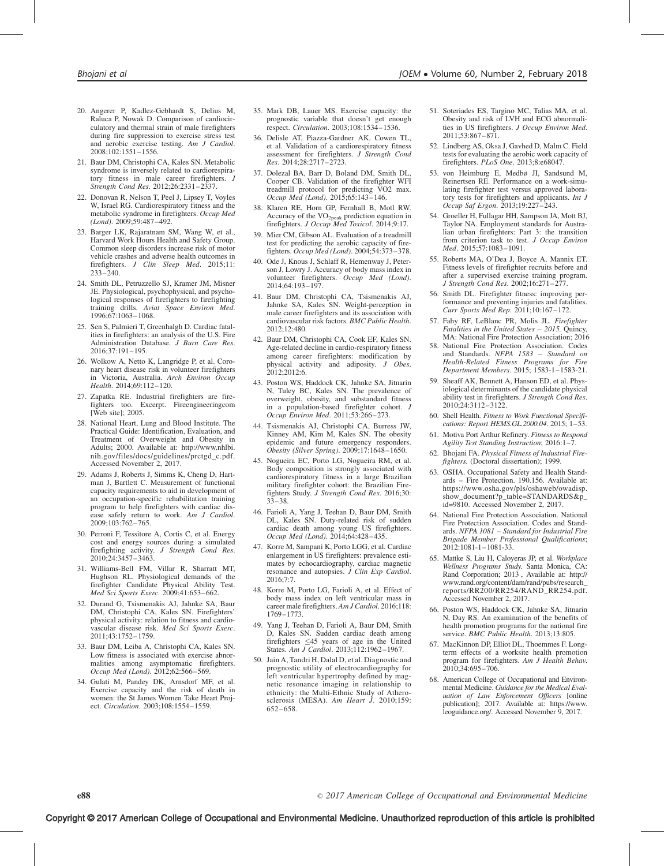- <span id="page-6-0"></span>20. Angerer P, Kadlez-Gebhardt S, Delius M, Raluca P, Nowak D. Comparison of cardiocirculatory and thermal strain of male firefighters during fire suppression to exercise stress test and aerobic exercise testing. Am J Cardiol. 2008;102:1551–1556.
- 21. Baur DM, Christophi CA, Kales SN. Metabolic syndrome is inversely related to cardiorespiratory fitness in male career firefighters. J Strength Cond Res. 2012;26:2331–2337.
- 22. Donovan R, Nelson T, Peel J, Lipsey T, Voyles W, Israel RG. Cardiorespiratory fitness and the metabolic syndrome in firefighters. Occup Med (Lond). 2009;59:487–492.
- 23. Barger LK, Rajaratnam SM, Wang W, et al., Harvard Work Hours Health and Safety Group. Common sleep disorders increase risk of motor vehicle crashes and adverse health outcomes in firefighters. J Clin Sleep Med. 2015;11: 233–240.
- 24. Smith DL, Petruzzello SJ, Kramer JM, Misner JE. Physiological, psychophysical, and psychological responses of firefighters to firefighting training drills. Aviat Space Environ Med. 1996;67:1063–1068.
- 25. Sen S, Palmieri T, Greenhalgh D. Cardiac fatalities in firefighters: an analysis of the U.S. Fire Administration Database. J Burn Care Res. 2016;37:191–195.
- 26. Wolkow A, Netto K, Langridge P, et al. Coronary heart disease risk in volunteer firefighters in Victoria, Australia. Arch Environ Occup Health. 2014;69:112–120.
- 27. Zapatka RE. Industrial firefighters are firefighters too. Excerpt. Fireengineeringcom [Web site]; 2005.
- 28. National Heart, Lung and Blood Institute. The Practical Guide: Identification, Evaluation, and Treatment of Overweight and Obesity in Adults; 2000. Available at: [http://www.nhlbi.](http://www.nhlbi.nih.gov/files/docs/guidelines/prctgd_c.pdf) [nih.gov/files/docs/guidelines/prctgd\\_c.pdf.](http://www.nhlbi.nih.gov/files/docs/guidelines/prctgd_c.pdf) [Accessed November 2, 2017.](http://www.nhlbi.nih.gov/files/docs/guidelines/prctgd_c.pdf)
- 29. Adams J, Roberts J, Simms K, Cheng D, Hartman J, Bartlett C. Measurement of functional capacity requirements to aid in development of an occupation-specific rehabilitation training program to help firefighters with cardiac disease safely return to work. Am J Cardiol. 2009;103:762–765.
- 30. Perroni F, Tessitore A, Cortis C, et al. Energy cost and energy sources during a simulated firefighting activity. J Strength Cond Res. 2010;24:3457–3463.
- 31. Williams-Bell FM, Villar R, Sharratt MT, Hughson RL. Physiological demands of the firefighter Candidate Physical Ability Test. Med Sci Sports Exerc. 2009;41:653–662.
- 32. Durand G, Tsismenakis AJ, Jahnke SA, Baur DM, Christophi CA, Kales SN. Firefighters' physical activity: relation to fitness and cardiovascular disease risk. Med Sci Sports Exerc. 2011;43:1752–1759.
- 33. Baur DM, Leiba A, Christophi CA, Kales SN. Low fitness is associated with exercise abnormalities among asymptomatic firefighters. Occup Med (Lond). 2012;62:566–569.
- 34. Gulati M, Pandey DK, Arnsdorf MF, et al. Exercise capacity and the risk of death in women: the St James Women Take Heart Project. Circulation. 2003;108:1554–1559.
- 35. Mark DB, Lauer MS. Exercise capacity: the prognostic variable that doesn't get enough respect. Circulation. 2003;108:1534–1536.
- 36. Delisle AT, Piazza-Gardner AK, Cowen TL, et al. Validation of a cardiorespiratory fitness assessment for firefighters. J Strength Cond Res. 2014;28:2717–2723.
- 37. Dolezal BA, Barr D, Boland DM, Smith DL, Cooper CB. Validation of the firefighter WFI treadmill protocol for predicting VO2 max. Occup Med (Lond). 2015;65:143–146.
- 38. Klaren RE, Horn GP, Fernhall B, Motl RW. Accuracy of the  $VO<sub>2peak</sub>$  prediction equation in firefighters. J Occup Med Toxicol. 2014;9:17.
- 39. Mier CM, Gibson AL. Evaluation of a treadmill test for predicting the aerobic capacity of firefighters. Occup Med (Lond). 2004;54:373–378.
- 40. Ode J, Knous J, Schlaff R, Hemenway J, Peterson J, Lowry J. Accuracy of body mass index in volunteer firefighters. Occup Med (Lond). 2014;64:193–197.
- 41. Baur DM, Christophi CA, Tsismenakis AJ, Jahnke SA, Kales SN. Weight-perception in male career firefighters and its association with cardiovascular risk factors. BMC Public Health. 2012;12:480.
- 42. Baur DM, Christophi CA, Cook EF, Kales SN. Age-related decline in cardio-respiratory fitness among career firefighters: modification by physical activity and adiposity. J Obes. 2012;2012:6.
- 43. Poston WS, Haddock CK, Jahnke SA, Jitnarin N, Tuley BC, Kales SN. The prevalence of overweight, obesity, and substandard fitness in a population-based firefighter cohort. J Occup Environ Med. 2011;53:266–273.
- 44. Tsismenakis AJ, Christophi CA, Burress JW, Kinney AM, Kim M, Kales SN. The obesity epidemic and future emergency responders. Obesity (Silver Spring). 2009;17:1648–1650.
- 45. Nogueira EC, Porto LG, Nogueira RM, et al. Body composition is strongly associated with cardiorespiratory fitness in a large Brazilian military firefighter cohort: the Brazilian Firefighters Study. J Strength Cond Res. 2016;30: 33–38.
- 46. Farioli A, Yang J, Teehan D, Baur DM, Smith DL, Kales SN. Duty-related risk of sudden cardiac death among young US firefighters. Occup Med (Lond). 2014;64:428–435.
- 47. Korre M, Sampani K, Porto LGG, et al. Cardiac enlargement in US firefighters: prevalence estimates by echocardiography, cardiac magnetic resonance and autopsies. J Clin Exp Cardiol. 2016;7:7.
- 48. Korre M, Porto LG, Farioli A, et al. Effect of body mass index on left ventricular mass in career male firefighters. Am J Cardiol. 2016;118: 1769–1773.
- 49. Yang J, Teehan D, Farioli A, Baur DM, Smith D, Kales SN. Sudden cardiac death among firefighters  $\leq$ 45 years of age in the United States. Am J Cardiol. 2013;112:1962–1967.
- 50. Jain A, Tandri H, Dalal D, et al. Diagnostic and prognostic utility of electrocardiography for left ventricular hypertrophy defined by magnetic resonance imaging in relationship to ethnicity: the Multi-Ethnic Study of Atherosclerosis (MESA). Am Heart J. 2010;159: 652–658.
- 51. Soteriades ES, Targino MC, Talias MA, et al. Obesity and risk of LVH and ECG abnormalities in US firefighters. J Occup Environ Med. 2011;53:867–871.
- 52. Lindberg AS, Oksa J, Gavhed D, Malm C. Field tests for evaluating the aerobic work capacity of firefighters. PLoS One. 2013;8:e68047
- 53. von Heimburg E, Medbø JI, Sandsund M, Reinertsen RE. Performance on a work-simulating firefighter test versus approved laboratory tests for firefighters and applicants. Int J Occup Saf Ergon. 2013;19:227–243.
- 54. Groeller H, Fullagar HH, Sampson JA, Mott BJ, Taylor NA. Employment standards for Australian urban firefighters: Part 3: the transition from criterion task to test. J Occup Environ Med. 2015;57:1083–1091.
- 55. Roberts MA, O'Dea J, Boyce A, Mannix ET. Fitness levels of firefighter recruits before and after a supervised exercise training program. J Strength Cond Res. 2002;16:271–277.
- 56. Smith DL. Firefighter fitness: improving performance and preventing injuries and fatalities. Curr Sports Med Rep. 2011;10:167–172.
- 57. Fahy RF, LeBlanc PR, Molis JL. Firefighter Fatalities in the United States – 2015. Quincy, MA: National Fire Protection Association; 2016
- 58. National Fire Protection Association. Codes and Standards. NFPA 1583 – Standard on Health-Related Fitness Programs for Fire Department Members. 2015; 1583-1–1583-21.
- 59. Sheaff AK, Bennett A, Hanson ED, et al. Physiological determinants of the candidate physical ability test in firefighters. J Strength Cond Res. 2010;24:3112–3122.
- 60. Shell Health. Fitness to Work Functional Specifications: Report HEMS.GL.2000.04. 2015; 1–53.
- 61. Motiva Port Arthur Refinery. Fitness to Respond Agility Test Standing Instruction; 2016:1–7.
- 62. Bhojani FA. Physical Fitness of Industrial Firefighters. (Doctoral dissertation); 1999.
- 63. OSHA. Occupational Safety and Health Standards – Fire Protection. 190.156. Available at: [https://www.osha.gov/pls/oshaweb/owadisp.](https://www.osha.gov/pls/oshaweb/owadisp.show_document?p_table=STANDARDS%26p_id=9810) [show\\_document?p\\_table=STANDARDS&p\\_](https://www.osha.gov/pls/oshaweb/owadisp.show_document?p_table=STANDARDS%26p_id=9810) [id=9810. Accessed November 2, 2017.](https://www.osha.gov/pls/oshaweb/owadisp.show_document?p_table=STANDARDS%26p_id=9810)
- 64. National Fire Protection Association. National Fire Protection Association. Codes and Standards. NFPA 1081 – Standard for Industrial Fire Brigade Member Professional Qualifications; 2012:1081-1–1081-33.
- 65. Mattke S, Liu H, Caloyeras JP, et al. Workplace Wellness Programs Study. Santa Monica, CA: Rand Corporation; 2013 , Available at: [http://](http://www.rand.org/content/dam/rand/pubs/research_reports/RR200/RR254/RAND_RR254.pdf) [www.rand.org/content/dam/rand/pubs/research\\_](http://www.rand.org/content/dam/rand/pubs/research_reports/RR200/RR254/RAND_RR254.pdf) [reports/RR200/RR254/RAND\\_RR254.pdf.](http://www.rand.org/content/dam/rand/pubs/research_reports/RR200/RR254/RAND_RR254.pdf) Accessed November 2, 2017.
- 66. Poston WS, Haddock CK, Jahnke SA, Jitnarin N, Day RS. An examination of the benefits of health promotion programs for the national fire service. BMC Public Health. 2013;13:805.
- 67. MacKinnon DP, Elliot DL, Thoemmes F. Longterm effects of a worksite health promotion program for firefighters. Am J Health Behav. 2010;34:695–706.
- 68. American College of Occupational and Environmental Medicine. Guidance for the Medical Evaluation of Law Enforcement Officers [online publication]; 2017. Available at: [https://www.](https://www.leoguidance.org/) [leoguidance.org/. Accessed November 9, 2017.](https://www.leoguidance.org/)